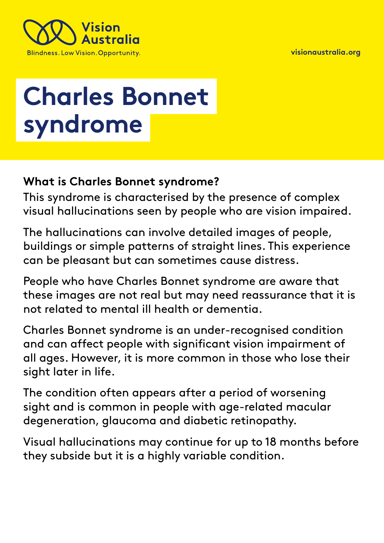**[visionaustralia.org](http://www.visionaustralia.org/)** 



# **Charles Bonnet syndrome**

## **What is Charles Bonnet syndrome?**

This syndrome is characterised by the presence of complex visual hallucinations seen by people who are vision impaired.

The hallucinations can involve detailed images of people, buildings or simple patterns of straight lines. This experience can be pleasant but can sometimes cause distress.

People who have Charles Bonnet syndrome are aware that these images are not real but may need reassurance that it is not related to mental ill health or dementia.

Charles Bonnet syndrome is an under-recognised condition and can affect people with significant vision impairment of all ages. However, it is more common in those who lose their sight later in life.

The condition often appears after a period of worsening sight and is common in people with age-related macular degeneration, glaucoma and diabetic retinopathy.

Visual hallucinations may continue for up to 18 months before they subside but it is a highly variable condition.